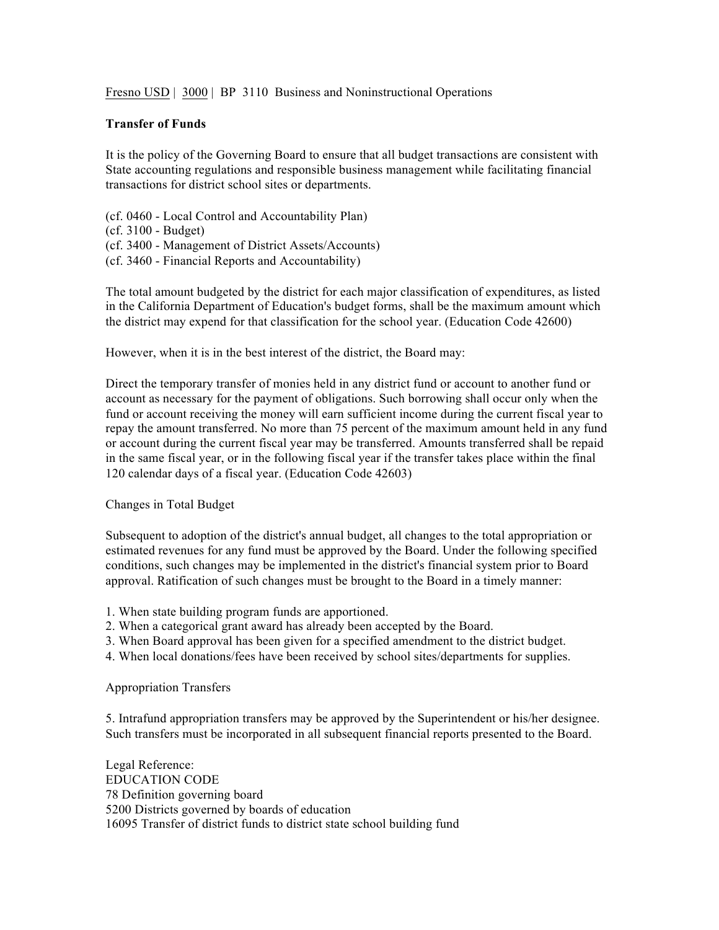Fresno USD | 3000 | BP 3110 Business and Noninstructional Operations

## **Transfer of Funds**

It is the policy of the Governing Board to ensure that all budget transactions are consistent with State accounting regulations and responsible business management while facilitating financial transactions for district school sites or departments.

(cf. 0460 - Local Control and Accountability Plan)

- (cf. 3100 Budget)
- (cf. 3400 Management of District Assets/Accounts)
- (cf. 3460 Financial Reports and Accountability)

The total amount budgeted by the district for each major classification of expenditures, as listed in the California Department of Education's budget forms, shall be the maximum amount which the district may expend for that classification for the school year. (Education Code 42600)

However, when it is in the best interest of the district, the Board may:

Direct the temporary transfer of monies held in any district fund or account to another fund or account as necessary for the payment of obligations. Such borrowing shall occur only when the fund or account receiving the money will earn sufficient income during the current fiscal year to repay the amount transferred. No more than 75 percent of the maximum amount held in any fund or account during the current fiscal year may be transferred. Amounts transferred shall be repaid in the same fiscal year, or in the following fiscal year if the transfer takes place within the final 120 calendar days of a fiscal year. (Education Code 42603)

Changes in Total Budget

Subsequent to adoption of the district's annual budget, all changes to the total appropriation or estimated revenues for any fund must be approved by the Board. Under the following specified conditions, such changes may be implemented in the district's financial system prior to Board approval. Ratification of such changes must be brought to the Board in a timely manner:

- 1. When state building program funds are apportioned.
- 2. When a categorical grant award has already been accepted by the Board.
- 3. When Board approval has been given for a specified amendment to the district budget.
- 4. When local donations/fees have been received by school sites/departments for supplies.

Appropriation Transfers

5. Intrafund appropriation transfers may be approved by the Superintendent or his/her designee. Such transfers must be incorporated in all subsequent financial reports presented to the Board.

Legal Reference: EDUCATION CODE 78 Definition governing board 5200 Districts governed by boards of education 16095 Transfer of district funds to district state school building fund